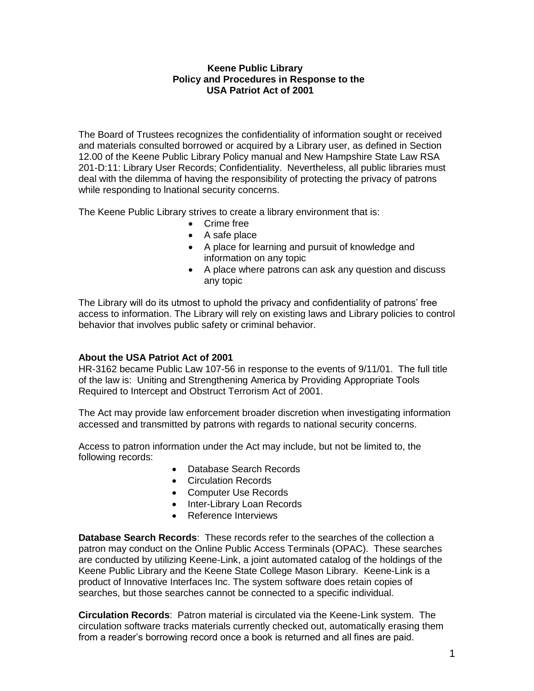## **Keene Public Library Policy and Procedures in Response to the USA Patriot Act of 2001**

The Board of Trustees recognizes the confidentiality of information sought or received and materials consulted borrowed or acquired by a Library user, as defined in Section 12.00 of the Keene Public Library Policy manual and New Hampshire State Law RSA 201-D:11: Library User Records; Confidentiality. Nevertheless, all public libraries must deal with the dilemma of having the responsibility of protecting the privacy of patrons while responding to lnational security concerns.

The Keene Public Library strives to create a library environment that is:

- Crime free
- A safe place
- A place for learning and pursuit of knowledge and information on any topic
- A place where patrons can ask any question and discuss any topic

The Library will do its utmost to uphold the privacy and confidentiality of patrons' free access to information. The Library will rely on existing laws and Library policies to control behavior that involves public safety or criminal behavior.

# **About the USA Patriot Act of 2001**

HR-3162 became Public Law 107-56 in response to the events of 9/11/01. The full title of the law is: Uniting and Strengthening America by Providing Appropriate Tools Required to Intercept and Obstruct Terrorism Act of 2001.

The Act may provide law enforcement broader discretion when investigating information accessed and transmitted by patrons with regards to national security concerns.

Access to patron information under the Act may include, but not be limited to, the following records:

- Database Search Records
- Circulation Records
- Computer Use Records
- Inter-Library Loan Records
- Reference Interviews

**Database Search Records**: These records refer to the searches of the collection a patron may conduct on the Online Public Access Terminals (OPAC). These searches are conducted by utilizing Keene-Link, a joint automated catalog of the holdings of the Keene Public Library and the Keene State College Mason Library. Keene-Link is a product of Innovative Interfaces Inc. The system software does retain copies of searches, but those searches cannot be connected to a specific individual.

**Circulation Records**: Patron material is circulated via the Keene-Link system. The circulation software tracks materials currently checked out, automatically erasing them from a reader's borrowing record once a book is returned and all fines are paid.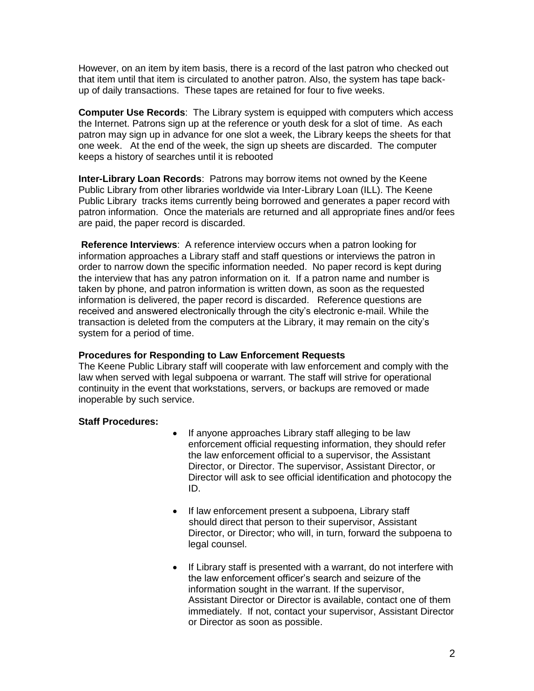However, on an item by item basis, there is a record of the last patron who checked out that item until that item is circulated to another patron. Also, the system has tape backup of daily transactions. These tapes are retained for four to five weeks.

**Computer Use Records**: The Library system is equipped with computers which access the Internet. Patrons sign up at the reference or youth desk for a slot of time. As each patron may sign up in advance for one slot a week, the Library keeps the sheets for that one week. At the end of the week, the sign up sheets are discarded. The computer keeps a history of searches until it is rebooted

**Inter-Library Loan Records**: Patrons may borrow items not owned by the Keene Public Library from other libraries worldwide via Inter-Library Loan (ILL). The Keene Public Library tracks items currently being borrowed and generates a paper record with patron information. Once the materials are returned and all appropriate fines and/or fees are paid, the paper record is discarded.

**Reference Interviews**: A reference interview occurs when a patron looking for information approaches a Library staff and staff questions or interviews the patron in order to narrow down the specific information needed. No paper record is kept during the interview that has any patron information on it. If a patron name and number is taken by phone, and patron information is written down, as soon as the requested information is delivered, the paper record is discarded. Reference questions are received and answered electronically through the city's electronic e-mail. While the transaction is deleted from the computers at the Library, it may remain on the city's system for a period of time.

#### **Procedures for Responding to Law Enforcement Requests**

The Keene Public Library staff will cooperate with law enforcement and comply with the law when served with legal subpoena or warrant. The staff will strive for operational continuity in the event that workstations, servers, or backups are removed or made inoperable by such service.

#### **Staff Procedures:**

- If anyone approaches Library staff alleging to be law enforcement official requesting information, they should refer the law enforcement official to a supervisor, the Assistant Director, or Director. The supervisor, Assistant Director, or Director will ask to see official identification and photocopy the ID.
- If law enforcement present a subpoena, Library staff should direct that person to their supervisor, Assistant Director, or Director; who will, in turn, forward the subpoena to legal counsel.
- If Library staff is presented with a warrant, do not interfere with the law enforcement officer's search and seizure of the information sought in the warrant. If the supervisor, Assistant Director or Director is available, contact one of them immediately. If not, contact your supervisor, Assistant Director or Director as soon as possible.